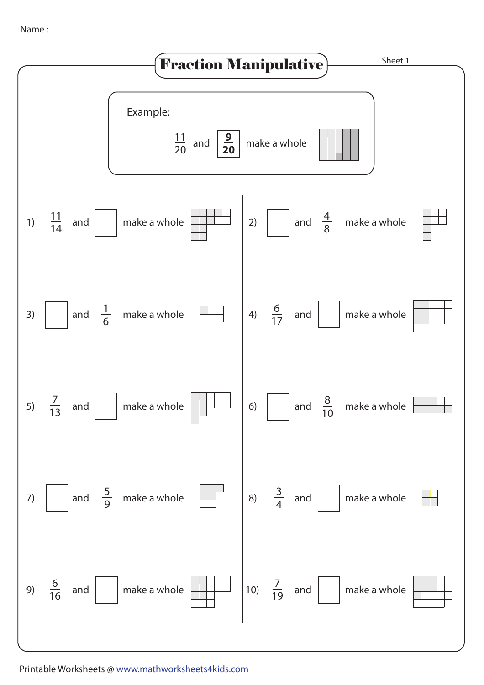